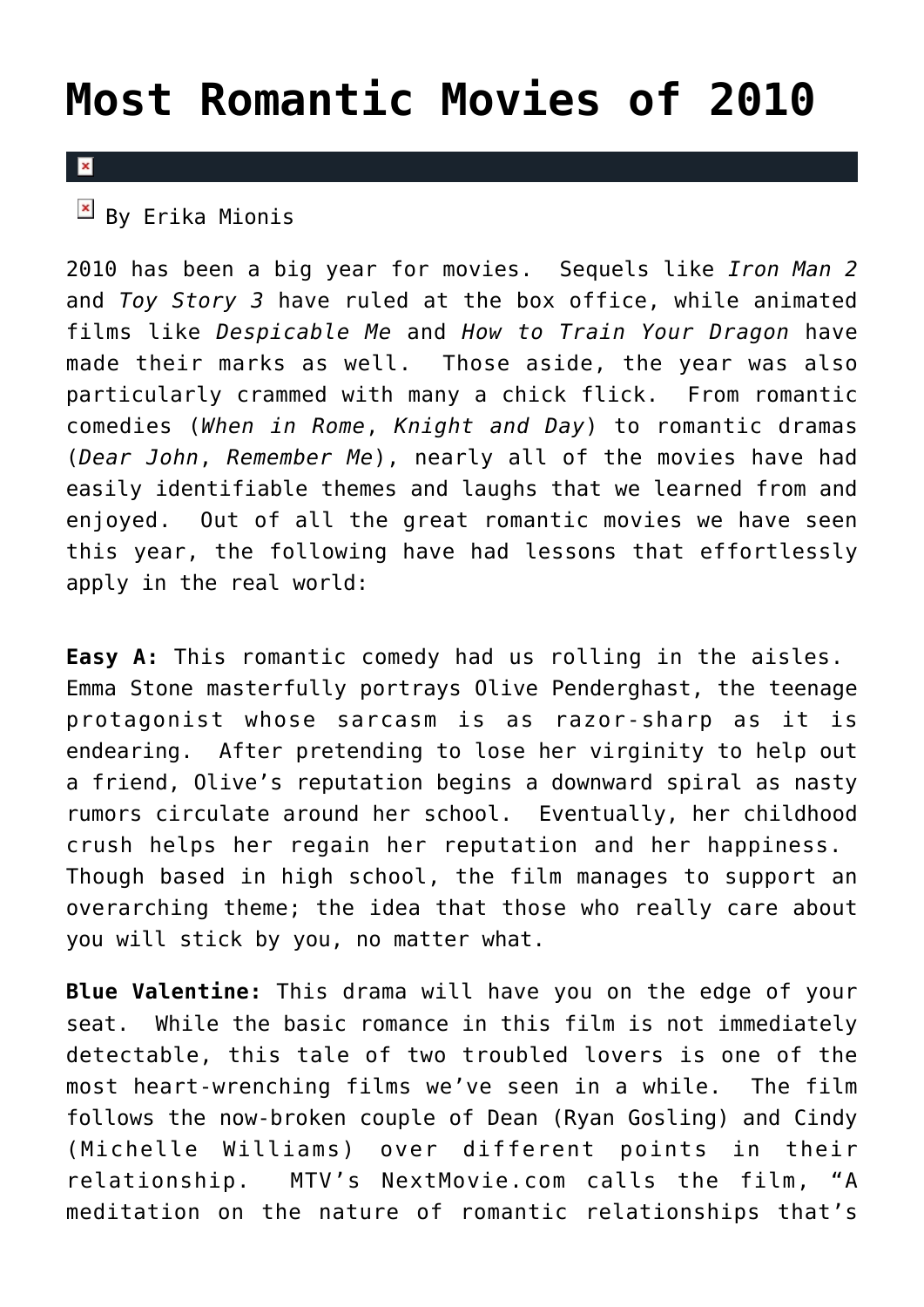## **[Most Romantic Movies of 2010](https://cupidspulse.com/8735/most-romantic-movies-of-2010/)**

## $\overline{\mathbf{x}}$

## $\boxed{\mathbf{x}}$  By Erika Mionis

2010 has been a big year for movies. Sequels like *Iron Man 2* and *Toy Story 3* have ruled at the box office, while animated films like *Despicable Me* and *How to Train Your Dragon* have made their marks as well. Those aside, the year was also particularly crammed with many a chick flick. From romantic comedies (*When in Rome*, *Knight and Day*) to romantic dramas (*Dear John*, *Remember Me*), nearly all of the movies have had easily identifiable themes and laughs that we learned from and enjoyed. Out of all the great romantic movies we have seen this year, the following have had lessons that effortlessly apply in the real world:

**Easy A:** This romantic comedy had us rolling in the aisles. Emma Stone masterfully portrays Olive Penderghast, the teenage protagonist whose sarcasm is as razor-sharp as it is endearing. After pretending to lose her virginity to help out a friend, Olive's reputation begins a downward spiral as nasty rumors circulate around her school. Eventually, her childhood crush helps her regain her reputation and her happiness. Though based in high school, the film manages to support an overarching theme; the idea that those who really care about you will stick by you, no matter what.

**Blue Valentine:** This drama will have you on the edge of your seat. While the basic romance in this film is not immediately detectable, this tale of two troubled lovers is one of the most heart-wrenching films we've seen in a while. The film follows the now-broken couple of Dean (Ryan Gosling) and Cindy (Michelle Williams) over different points in their relationship. MTV's NextMovie.com calls the film, "A meditation on the nature of romantic relationships that's